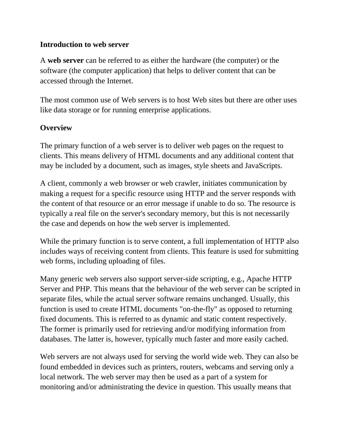### **Introduction to web server**

A **web server** can be referred to as either the [hardware](http://en.wikipedia.org/wiki/Hardware) (the computer) or the [software](http://en.wikipedia.org/wiki/Software) (the computer application) that helps to deliver content that can be accessed through the [Internet.](http://en.wikipedia.org/wiki/Internet)

The most common use of Web servers is to host [Web sites](http://en.wikipedia.org/wiki/Web_sites) but there are other uses like data storage or for running [enterprise applications.](http://en.wikipedia.org/wiki/Enterprise_software)

# **Overview**

The primary function of a web server is to deliver web pages on the request to [clients.](http://en.wikipedia.org/wiki/Client_(computing)) This means delivery of [HTML documents](http://en.wikipedia.org/wiki/HTML) and any additional content that may be included by a document, such as [images,](http://en.wikipedia.org/wiki/Image) [style sheets](http://en.wikipedia.org/wiki/Style_sheet_(web_development)) and [JavaScripts.](http://en.wikipedia.org/wiki/JavaScript)

A client, commonly a [web browser](http://en.wikipedia.org/wiki/Web_browser) or [web crawler,](http://en.wikipedia.org/wiki/Web_crawler) initiates communication by making a request for a specific resource using HTTP and the server responds with the content of that resource or an error message if unable to do so. The resource is typically a real file on the server's [secondary memory,](http://en.wikipedia.org/wiki/Secondary_memory) but this is not necessarily the case and depends on how the web server is [implemented.](http://en.wikipedia.org/wiki/Implementation)

While the primary function is to serve content, a full implementation of HTTP also includes ways of receiving content from clients. This feature is used for submitting [web forms,](http://en.wikipedia.org/wiki/Form_(web)) including [uploading](http://en.wikipedia.org/wiki/Upload) of files.

Many generic web servers also support [server-side scripting,](http://en.wikipedia.org/wiki/Server-side_scripting) e.g., [Apache HTTP](http://en.wikipedia.org/wiki/Apache_HTTP_Server)  [Server](http://en.wikipedia.org/wiki/Apache_HTTP_Server) and [PHP.](http://en.wikipedia.org/wiki/PHP) This means that the behaviour of the web server can be [scripted](http://en.wikipedia.org/wiki/Scripting_language) in separate files, while the actual server software remains unchanged. Usually, this function is used to create HTML documents "on-the-fly" as opposed to returning fixed documents. This is referred to as [dynamic](http://en.wikipedia.org/wiki/Dynamic_Web_page) and [static](http://en.wikipedia.org/wiki/Static_Web_page) content respectively. The former is primarily used for retrieving and/or modifying information from [databases.](http://en.wikipedia.org/wiki/Database) The latter is, however, typically much faster and more easily [cached.](http://en.wikipedia.org/wiki/Cache)

Web servers are not always used for serving the [world wide web.](http://en.wikipedia.org/wiki/World_wide_web) They can also be found [embedded](http://en.wikipedia.org/wiki/Embedded_system) in devices such as [printers,](http://en.wikipedia.org/wiki/Printer_(computing)) [routers,](http://en.wikipedia.org/wiki/Router) [webcams](http://en.wikipedia.org/wiki/Webcam) and serving only a [local network.](http://en.wikipedia.org/wiki/Local_Area_Network) The web server may then be used as a part of a system for monitoring and/or administrating the device in question. This usually means that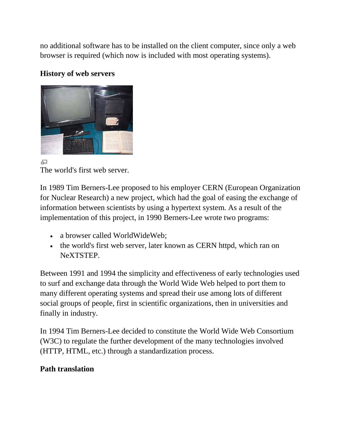no additional software has to be installed on the client computer, since only a web browser is required (which now is included with most [operating systems\)](http://en.wikipedia.org/wiki/Operating_system).

#### **History of web servers**



모 The world's first web server.

In 1989 [Tim Berners-Lee](http://en.wikipedia.org/wiki/Tim_Berners-Lee) proposed to his employer [CERN](http://en.wikipedia.org/wiki/CERN) (European Organization for Nuclear Research) a new project, which had the goal of easing the exchange of information between scientists by using a [hypertext](http://en.wikipedia.org/wiki/Hypertext) system. As a result of the implementation of this project, in 1990 Berners-Lee wrote two programs:

- a [browser](http://en.wikipedia.org/wiki/Web_browser) called [WorldWideWeb;](http://en.wikipedia.org/wiki/WorldWideWeb)
- the world's first web server, later known as [CERN httpd,](http://en.wikipedia.org/wiki/CERN_httpd) which ran on [NeXTSTEP.](http://en.wikipedia.org/wiki/NeXTSTEP)

Between 1991 and 1994 the simplicity and effectiveness of early technologies used to surf and exchange data through the World Wide Web helped to port them to many different operating systems and spread their use among lots of different social groups of people, first in scientific organizations, then in universities and finally in industry.

In 1994 Tim Berners-Lee decided to constitute the [World Wide Web Consortium](http://en.wikipedia.org/wiki/World_Wide_Web_Consortium) (W3C) to regulate the further development of the many technologies involved (HTTP, HTML, etc.) through a standardization process.

# **Path translation**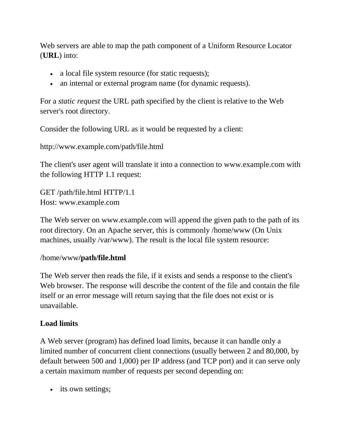Web servers are able to map the path component of a [Uniform Resource Locator](http://en.wikipedia.org/wiki/Uniform_Resource_Locator) (**URL**) into:

- a local file system resource (for static requests);
- an internal or external program name (for dynamic requests).

For a *static request* the URL path specified by the client is relative to the Web server's root directory.

Consider the following URL as it would be requested by a client:

```
http://www.example.com/path/file.html
```
The client's [user agent](http://en.wikipedia.org/wiki/User_agent) will translate it into a connection to www.example.com with the following HTTP 1.1 request:

GET /path/file.html HTTP/1.1 Host: www.example.com

The Web server on www.example.com will append the given path to the path of its root directory. On an [Apache server,](http://en.wikipedia.org/wiki/Apache_server) this is commonly /home/www (On [Unix](http://en.wikipedia.org/wiki/Unix) machines, usually /var/www). The result is the local file system resource:

#### /home/www**/path/file.html**

The Web server then reads the file, if it exists and sends a response to the client's Web browser. The response will describe the content of the file and contain the file itself or an error message will return saying that the file does not exist or is unavailable.

#### **Load limits**

A Web server (program) has defined load limits, because it can handle only a limited number of concurrent client connections (usually between 2 and 80,000, by default between 500 and 1,000) per [IP address](http://en.wikipedia.org/wiki/IP_address) (and TCP port) and it can serve only a certain maximum number of requests per second depending on:

• its own settings;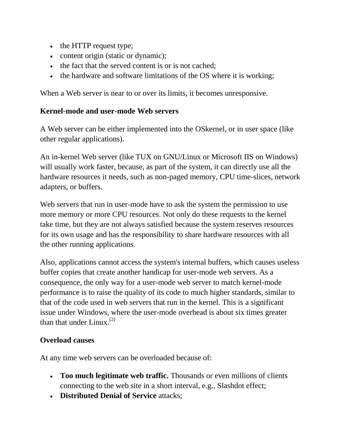- the HTTP request type;
- content origin (static or dynamic);
- the fact that the served content is or is not [cached;](http://en.wikipedia.org/wiki/Cache)
- the [hardware](http://en.wikipedia.org/wiki/Personal_computer_hardware) and [software](http://en.wikipedia.org/wiki/Computer_software) limitations of the OS where it is working;

When a Web server is near to or over its limits, it becomes unresponsive.

# **Kernel-mode and user-mode Web servers**

A Web server can be either implemented into the [OSkernel,](http://en.wikipedia.org/wiki/Operating_system) or in [user space](http://en.wikipedia.org/wiki/User_space) (like other regular applications).

An [in-kernel Web server](http://en.wikipedia.org/wiki/In-kernel_web_server) (like [TUX](http://en.wikipedia.org/wiki/TUX_web_server) on GNU/Linux or Microsoft [IIS](http://en.wikipedia.org/wiki/Internet_Information_Services) on Windows) will usually work faster, because, as part of the system, it can directly use all the hardware resources it needs, such as non-paged memory, CPU time-slices, network adapters, or buffers.

Web servers that run in user-mode have to ask the system the permission to use more memory or more CPU resources. Not only do these requests to the kernel take time, but they are not always satisfied because the system reserves resources for its own usage and has the responsibility to share hardware resources with all the other running applications.

Also, applications cannot access the system's internal buffers, which causes useless buffer copies that create another handicap for user-mode web servers. As a consequence, the only way for a user-mode web server to match kernel-mode performance is to raise the quality of its code to much higher standards, similar to that of the code used in web servers that run in the kernel. This is a significant issue under Windows, where the user-mode overhead is about six times greater than that under Linux.<sup>[\[2\]](http://en.wikipedia.org/wiki/Web_server#cite_note-1)</sup>

# **Overload causes**

At any time web servers can be overloaded because of:

- **Too much legitimate web traffic.** Thousands or even millions of clients connecting to the web site in a short interval, e.g., [Slashdot effect;](http://en.wikipedia.org/wiki/Slashdot_effect)
- **[Distributed Denial of Service](http://en.wikipedia.org/wiki/Distributed_Denial_of_Service)** attacks;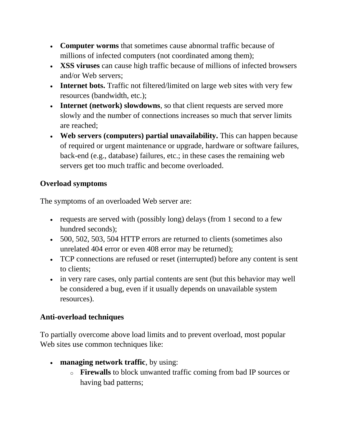- **[Computer worms](http://en.wikipedia.org/wiki/Computer_worm)** that sometimes cause abnormal traffic because of millions of infected computers (not coordinated among them);
- **[XSS viruses](http://en.wikipedia.org/wiki/Computer_virus#Cross-site_scripting_virus)** can cause high traffic because of millions of infected browsers and/or [Web servers;](http://en.wikipedia.org/wiki/Web_servers)
- **[Internet bots.](http://en.wikipedia.org/wiki/Internet_bot)** Traffic not filtered/limited on large web sites with very few resources (bandwidth, etc.);
- **[Internet](http://en.wikipedia.org/wiki/Internet) (network) slowdowns**, so that client requests are served more slowly and the number of connections increases so much that server limits are reached;
- **Web servers [\(computers\)](http://en.wikipedia.org/wiki/Computer) partial unavailability.** This can happen because of required or urgent maintenance or upgrade, hardware or software failures, [back-end](http://en.wikipedia.org/wiki/Back-end) (e.g., [database\)](http://en.wikipedia.org/wiki/Database) failures, etc.; in these cases the remaining web servers get too much traffic and become overloaded.

# **Overload symptoms**

The symptoms of an overloaded Web server are:

- requests are served with (possibly long) delays (from 1 second to a few hundred seconds);
- [500, 502, 503, 504 HTTP errors](http://en.wikipedia.org/wiki/List_of_HTTP_status_codes) are returned to clients (sometimes also unrelated [404 error](http://en.wikipedia.org/wiki/HTTP_404) or even [408 error](http://en.wikipedia.org/wiki/List_of_HTTP_status_codes) may be returned);
- [TCP](http://en.wikipedia.org/wiki/Transmission_control_protocol) connections are refused or reset (interrupted) before any content is sent to clients;
- in very rare cases, only partial contents are sent (but this behavior may well be considered a [bug,](http://en.wikipedia.org/wiki/Software_bug) even if it usually depends on unavailable system resources).

### **Anti-overload techniques**

To partially overcome above load limits and to prevent overload, most popular Web sites use common techniques like:

- **managing network traffic**, by using:
	- o **[Firewalls](http://en.wikipedia.org/wiki/Firewall_(computing))** to block unwanted traffic coming from bad IP sources or having bad patterns;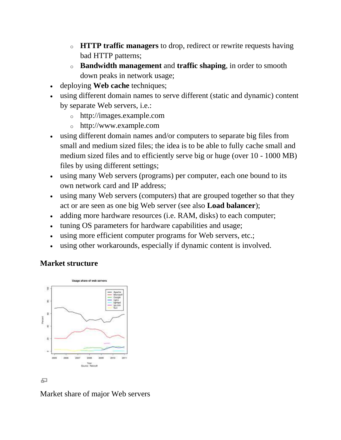- o **HTTP traffic managers** to drop, redirect or rewrite requests having bad [HTTP](http://en.wikipedia.org/wiki/HTTP) patterns;
- o **[Bandwidth management](http://en.wikipedia.org/wiki/Bandwidth_management)** and **[traffic shaping](http://en.wikipedia.org/wiki/Traffic_shaping)**, in order to smooth down peaks in network usage;
- deploying **[Web cache](http://en.wikipedia.org/wiki/Web_cache)** techniques;
- using different [domain names](http://en.wikipedia.org/wiki/Domain_name) to serve different (static and dynamic) content by separate Web servers, i.e.:
	- o http://images.example.com
	- o http://www.example.com
- using different domain names and/or computers to separate big files from small and medium sized files; the idea is to be able to fully [cache](http://en.wikipedia.org/wiki/Cache) small and medium sized files and to efficiently serve big or huge (over 10 - 1000 MB) files by using different settings;
- using many Web servers (programs) per computer, each one bound to its own [network card](http://en.wikipedia.org/wiki/Network_card) and [IP address;](http://en.wikipedia.org/wiki/IP_address)
- using many Web servers (computers) that are grouped together so that they act or are seen as one big Web server (see also **[Load balancer](http://en.wikipedia.org/wiki/Load_balancer)**);
- adding more hardware resources (i.e. [RAM,](http://en.wikipedia.org/wiki/RAM) [disks\)](http://en.wikipedia.org/wiki/Disk_storage) to each computer;
- tuning OS parameters for hardware capabilities and usage;
- using more efficient [computer programs](http://en.wikipedia.org/wiki/Computer_program) for Web servers, etc.;
- using other [workarounds,](http://en.wikipedia.org/wiki/Workaround) especially if dynamic content is involved.

### **Market structure**



모

Market share of major Web servers